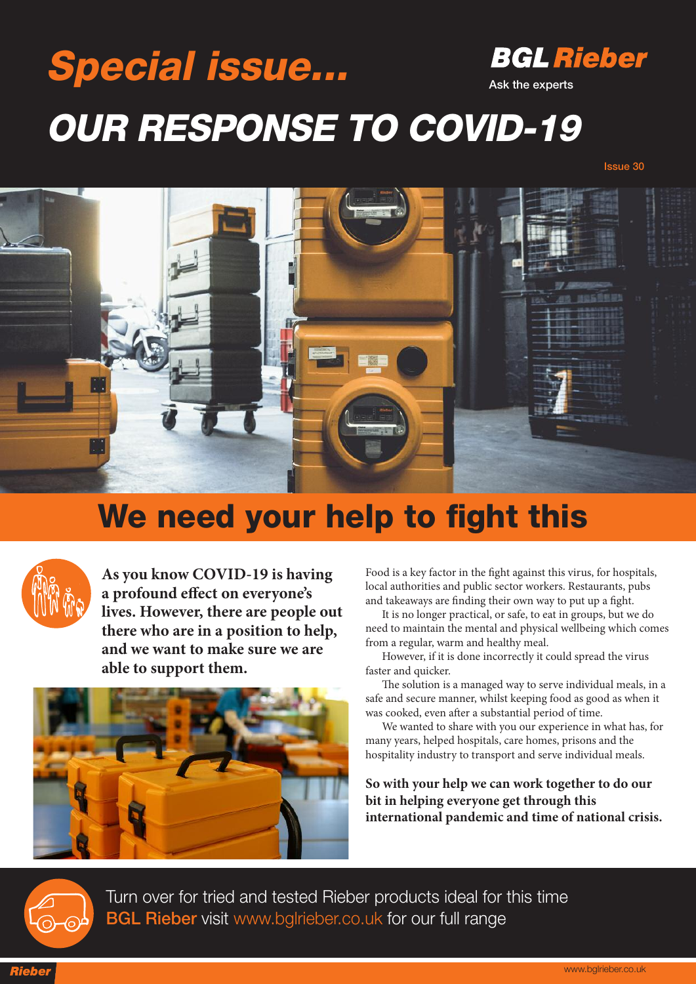## **BGL Rieber Special issue... Ask the experts OUR RESPONSE TO COVID-19**

**Issue 30**



## **We need your help to fight this**



**As you know COVID-19 is having a profound effect on everyone's lives. However, there are people out there who are in a position to help, and we want to make sure we are able to support them.**



Food is a key factor in the fight against this virus, for hospitals, local authorities and public sector workers. Restaurants, pubs and takeaways are finding their own way to put up a fight.

It is no longer practical, or safe, to eat in groups, but we do need to maintain the mental and physical wellbeing which comes from a regular, warm and healthy meal.

However, if it is done incorrectly it could spread the virus faster and quicker.

The solution is a managed way to serve individual meals, in a safe and secure manner, whilst keeping food as good as when it was cooked, even after a substantial period of time.

We wanted to share with you our experience in what has, for many years, helped hospitals, care homes, prisons and the hospitality industry to transport and serve individual meals.

**So with your help we can work together to do our bit in helping everyone get through this international pandemic and time of national crisis.**



Turn over for tried and tested Rieber products ideal for this time **BGL Rieber** visit www.bglrieber.co.uk for our full range